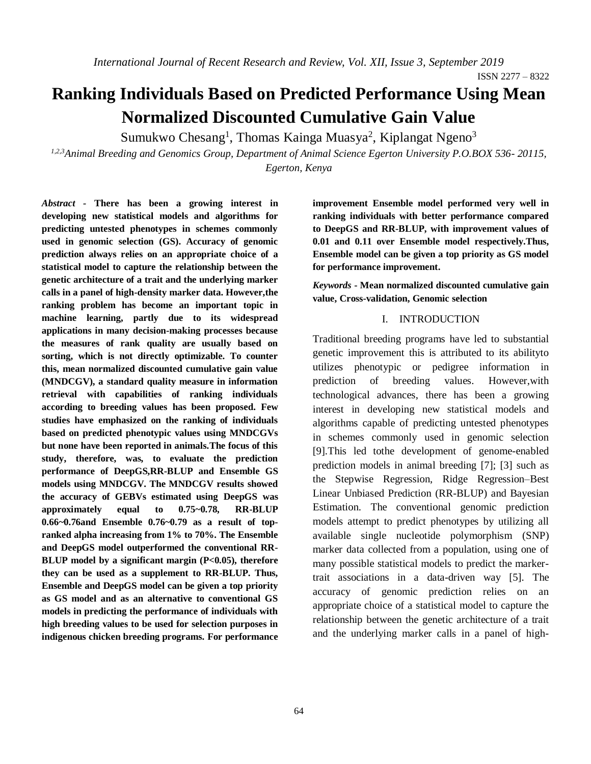# **Ranking Individuals Based on Predicted Performance Using Mean Normalized Discounted Cumulative Gain Value**

Sumukwo Chesang<sup>1</sup>, Thomas Kainga Muasya<sup>2</sup>, Kiplangat Ngeno<sup>3</sup>

*1,2,3Animal Breeding and Genomics Group, Department of Animal Science Egerton University P.O.BOX 536- 20115, Egerton, Kenya*

*Abstract -* **There has been a growing interest in developing new statistical models and algorithms for predicting untested phenotypes in schemes commonly used in genomic selection (GS). Accuracy of genomic prediction always relies on an appropriate choice of a statistical model to capture the relationship between the genetic architecture of a trait and the underlying marker calls in a panel of high-density marker data. However,the ranking problem has become an important topic in machine learning, partly due to its widespread applications in many decision-making processes because the measures of rank quality are usually based on sorting, which is not directly optimizable. To counter this, mean normalized discounted cumulative gain value (MNDCGV), a standard quality measure in information retrieval with capabilities of ranking individuals according to breeding values has been proposed. Few studies have emphasized on the ranking of individuals based on predicted phenotypic values using MNDCGVs but none have been reported in animals.The focus of this study, therefore, was, to evaluate the prediction performance of DeepGS,RR-BLUP and Ensemble GS models using MNDCGV. The MNDCGV results showed the accuracy of GEBVs estimated using DeepGS was approximately equal to 0.75~0.78, RR-BLUP 0.66~0.76and Ensemble 0.76~0.79 as a result of topranked alpha increasing from 1% to 70%. The Ensemble and DeepGS model outperformed the conventional RR-BLUP model by a significant margin (P<0.05), therefore they can be used as a supplement to RR-BLUP. Thus, Ensemble and DeepGS model can be given a top priority as GS model and as an alternative to conventional GS models in predicting the performance of individuals with high breeding values to be used for selection purposes in indigenous chicken breeding programs. For performance**  **improvement Ensemble model performed very well in ranking individuals with better performance compared to DeepGS and RR-BLUP, with improvement values of 0.01 and 0.11 over Ensemble model respectively.Thus, Ensemble model can be given a top priority as GS model for performance improvement.**

*Keywords* **- Mean normalized discounted cumulative gain value, Cross-validation, Genomic selection**

## I. INTRODUCTION

Traditional breeding programs have led to substantial genetic improvement this is attributed to its abilityto utilizes phenotypic or pedigree information in prediction of breeding values. However,with technological advances, there has been a growing interest in developing new statistical models and algorithms capable of predicting untested phenotypes in schemes commonly used in genomic selection [9].This led tothe development of genome-enabled prediction models in animal breeding [7]; [3] such as the Stepwise Regression, Ridge Regression–Best Linear Unbiased Prediction (RR-BLUP) and Bayesian Estimation. The conventional genomic prediction models attempt to predict phenotypes by utilizing all available single nucleotide polymorphism (SNP) marker data collected from a population, using one of many possible statistical models to predict the markertrait associations in a data-driven way [5]. The accuracy of genomic prediction relies on an appropriate choice of a statistical model to capture the relationship between the genetic architecture of a trait and the underlying marker calls in a panel of high-

ISSN 2277 – 8322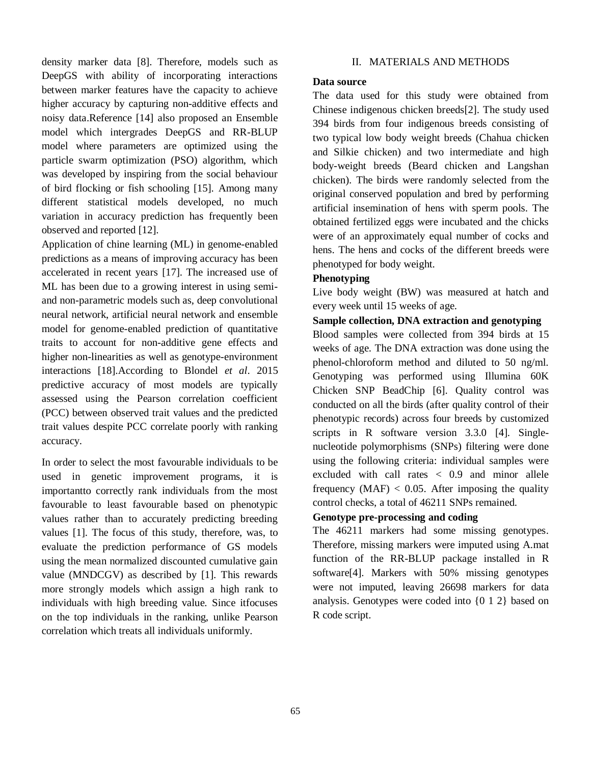density marker data [8]. Therefore, models such as DeepGS with ability of incorporating interactions between marker features have the capacity to achieve higher accuracy by capturing non-additive effects and noisy data.Reference [14] also proposed an Ensemble model which intergrades DeepGS and RR-BLUP model where parameters are optimized using the particle swarm optimization (PSO) algorithm, which was developed by inspiring from the social behaviour of bird flocking or fish schooling [15]. Among many different statistical models developed, no much variation in accuracy prediction has frequently been observed and reported [12].

Application of chine learning (ML) in genome-enabled predictions as a means of improving accuracy has been accelerated in recent years [17]. The increased use of ML has been due to a growing interest in using semiand non-parametric models such as, deep convolutional neural network, artificial neural network and ensemble model for genome-enabled prediction of quantitative traits to account for non-additive gene effects and higher non-linearities as well as genotype-environment interactions [18].According to Blondel *et al*. 2015 predictive accuracy of most models are typically assessed using the Pearson correlation coefficient (PCC) between observed trait values and the predicted trait values despite PCC correlate poorly with ranking accuracy.

In order to select the most favourable individuals to be used in genetic improvement programs, it is importantto correctly rank individuals from the most favourable to least favourable based on phenotypic values rather than to accurately predicting breeding values [1]. The focus of this study, therefore, was, to evaluate the prediction performance of GS models using the mean normalized discounted cumulative gain value (MNDCGV) as described by [1]. This rewards more strongly models which assign a high rank to individuals with high breeding value. Since itfocuses on the top individuals in the ranking, unlike Pearson correlation which treats all individuals uniformly.

#### II. MATERIALS AND METHODS

### **Data source**

The data used for this study were obtained from Chinese indigenous chicken breeds[2]. The study used 394 birds from four indigenous breeds consisting of two typical low body weight breeds (Chahua chicken and Silkie chicken) and two intermediate and high body-weight breeds (Beard chicken and Langshan chicken). The birds were randomly selected from the original conserved population and bred by performing artificial insemination of hens with sperm pools. The obtained fertilized eggs were incubated and the chicks were of an approximately equal number of cocks and hens. The hens and cocks of the different breeds were phenotyped for body weight.

## **Phenotyping**

Live body weight (BW) was measured at hatch and every week until 15 weeks of age.

## **Sample collection, DNA extraction and genotyping**

Blood samples were collected from 394 birds at 15 weeks of age. The DNA extraction was done using the phenol-chloroform method and diluted to 50 ng/ml. Genotyping was performed using Illumina 60K Chicken SNP BeadChip [6]. Quality control was conducted on all the birds (after quality control of their phenotypic records) across four breeds by customized scripts in R software version 3.3.0 [4]. Singlenucleotide polymorphisms (SNPs) filtering were done using the following criteria: individual samples were excluded with call rates < 0.9 and minor allele frequency  $(MAF) < 0.05$ . After imposing the quality control checks, a total of 46211 SNPs remained.

# **Genotype pre-processing and coding**

The 46211 markers had some missing genotypes. Therefore, missing markers were imputed using A.mat function of the RR-BLUP package installed in R software[4]. Markers with 50% missing genotypes were not imputed, leaving 26698 markers for data analysis. Genotypes were coded into {0 1 2} based on R code script.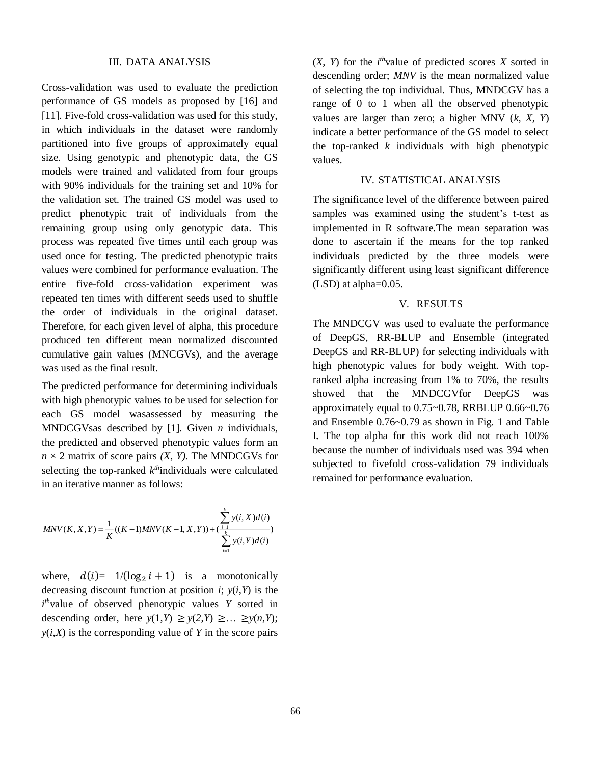#### III. DATA ANALYSIS

Cross-validation was used to evaluate the prediction performance of GS models as proposed by [16] and [11]. Five-fold cross-validation was used for this study, in which individuals in the dataset were randomly partitioned into five groups of approximately equal size. Using genotypic and phenotypic data, the GS models were trained and validated from four groups with 90% individuals for the training set and 10% for the validation set. The trained GS model was used to predict phenotypic trait of individuals from the remaining group using only genotypic data. This process was repeated five times until each group was used once for testing. The predicted phenotypic traits values were combined for performance evaluation. The entire five-fold cross-validation experiment was repeated ten times with different seeds used to shuffle the order of individuals in the original dataset. Therefore, for each given level of alpha, this procedure produced ten different mean normalized discounted cumulative gain values (MNCGVs), and the average was used as the final result.

The predicted performance for determining individuals with high phenotypic values to be used for selection for each GS model wasassessed by measuring the MNDCGVsas described by [1]. Given *n* individuals, the predicted and observed phenotypic values form an  $n \times 2$  matrix of score pairs *(X, Y)*. The MNDCGVs for selecting the top-ranked  $k^{\text{th}}$ individuals were calculated in an iterative manner as follows:

$$
MNV(K, X, Y) = \frac{1}{K}((K-1)MNV(K-1, X, Y)) + \frac{\sum_{i=1}^{k} y(i, X)d(i)}{\sum_{i=1}^{k} y(i, Y)d(i)}
$$

where,  $d(i) = 1/(\log_2 i + 1)$  is a monotonically decreasing discount function at position *i*;  $v(i, Y)$  is the  $i<sup>th</sup>$ value of observed phenotypic values *Y* sorted in descending order, here  $y(1,Y) \ge y(2,Y) \ge ... \ge y(n,Y)$ ;  $y(i, X)$  is the corresponding value of *Y* in the score pairs

 $(X, Y)$  for the *i*<sup>th</sup>value of predicted scores *X* sorted in descending order; *MNV* is the mean normalized value of selecting the top individual. Thus, MNDCGV has a range of 0 to 1 when all the observed phenotypic values are larger than zero; a higher MNV (*k, X, Y*) indicate a better performance of the GS model to select the top-ranked *k* individuals with high phenotypic values.

## IV. STATISTICAL ANALYSIS

The significance level of the difference between paired samples was examined using the student's t-test as implemented in R software.The mean separation was done to ascertain if the means for the top ranked individuals predicted by the three models were significantly different using least significant difference (LSD) at alpha=0.05.

#### V. RESULTS

The MNDCGV was used to evaluate the performance of DeepGS, RR-BLUP and Ensemble (integrated DeepGS and RR-BLUP) for selecting individuals with high phenotypic values for body weight. With topranked alpha increasing from 1% to 70%, the results showed that the MNDCGVfor DeepGS was approximately equal to 0.75~0.78, RRBLUP 0.66~0.76 and Ensemble 0.76~0.79 as shown in Fig. 1 and Table I**.** The top alpha for this work did not reach 100% because the number of individuals used was 394 when subjected to fivefold cross-validation 79 individuals remained for performance evaluation.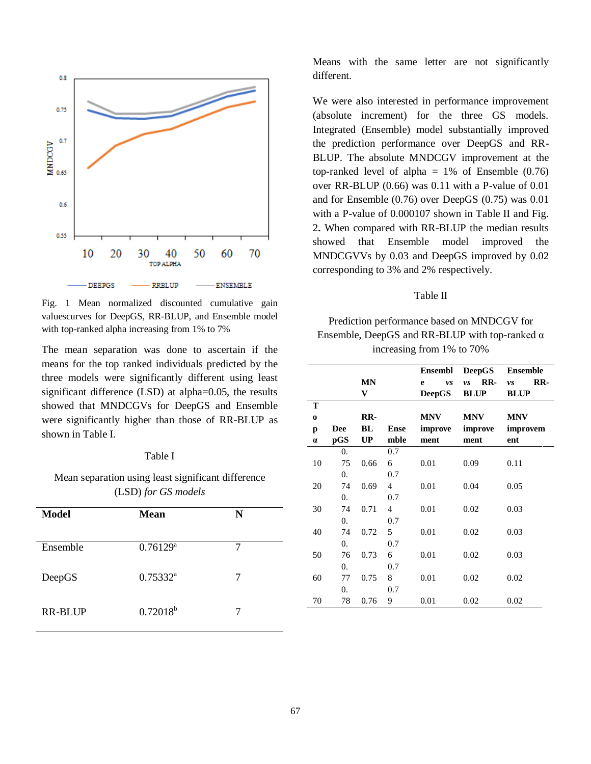

Fig. 1 Mean normalized discounted cumulative gain valuescurves for DeepGS, RR-BLUP, and Ensemble model with top-ranked alpha increasing from 1% to 7%

The mean separation was done to ascertain if the means for the top ranked individuals predicted by the three models were significantly different using least significant difference (LSD) at alpha=0.05, the results showed that MNDCGVs for DeepGS and Ensemble were significantly higher than those of RR-BLUP as shown in Table I.

#### Table I

Mean separation using least significant difference (LSD) *for GS models*

| <b>Model</b>   | <b>Mean</b>            | N |
|----------------|------------------------|---|
| Ensemble       | $0.76129$ <sup>a</sup> | 7 |
| DeepGS         | $0.75332^{a}$          | 7 |
| <b>RR-BLUP</b> | $0.72018^{b}$          | 7 |

Means with the same letter are not significantly different.

We were also interested in performance improvement (absolute increment) for the three GS models. Integrated (Ensemble) model substantially improved the prediction performance over DeepGS and RR-BLUP. The absolute MNDCGV improvement at the top-ranked level of alpha  $= 1\%$  of Ensemble (0.76) over RR-BLUP (0.66) was 0.11 with a P-value of 0.01 and for Ensemble (0.76) over DeepGS (0.75) was 0.01 with a P-value of 0.000107 shown in Table II and Fig. 2**.** When compared with RR-BLUP the median results showed that Ensemble model improved the MNDCGVVs by 0.03 and DeepGS improved by 0.02 corresponding to 3% and 2% respectively.

#### Table II

Prediction performance based on MNDCGV for Ensemble, DeepGS and RR-BLUP with top-ranked  $\alpha$ increasing from 1% to 70%

|          |                  |           |                | Ensembl       | <b>DeepGS</b> | <b>Ensemble</b> |
|----------|------------------|-----------|----------------|---------------|---------------|-----------------|
|          |                  | <b>MN</b> |                | e<br>vs       | RR-<br>vs     | RR-<br>vs       |
|          |                  | V         |                | <b>DeepGS</b> | <b>BLUP</b>   | <b>BLUP</b>     |
| T        |                  |           |                |               |               |                 |
| $\bf{0}$ |                  | RR-       |                | <b>MNV</b>    | <b>MNV</b>    | <b>MNV</b>      |
| p        | <b>Dee</b>       | BL        | <b>Ense</b>    | improve       | improve       | improvem        |
| $\alpha$ | pGS              | UP        | mble           | ment          | ment          | ent             |
|          | 0.               |           | 0.7            |               |               |                 |
| 10       | 75               | 0.66      | 6              | 0.01          | 0.09          | 0.11            |
|          | 0.               |           | 0.7            |               |               |                 |
| 20       | 74               | 0.69      | $\overline{4}$ | 0.01          | 0.04          | 0.05            |
|          | $\overline{0}$ . |           | 0.7            |               |               |                 |
| 30       | 74               | 0.71      | $\overline{4}$ | 0.01          | 0.02          | 0.03            |
|          | 0.               |           | 0.7            |               |               |                 |
| 40       | 74               | 0.72      | 5              | 0.01          | 0.02          | 0.03            |
|          | $\overline{0}$ . |           | 0.7            |               |               |                 |
| 50       | 76               | 0.73      | 6              | 0.01          | 0.02          | 0.03            |
|          | 0.               |           | 0.7            |               |               |                 |
| 60       | 77               | 0.75      | 8              | 0.01          | 0.02          | 0.02            |
|          | 0.               |           | 0.7            |               |               |                 |
| 70       | 78               | 0.76      | 9              | 0.01          | 0.02          | 0.02            |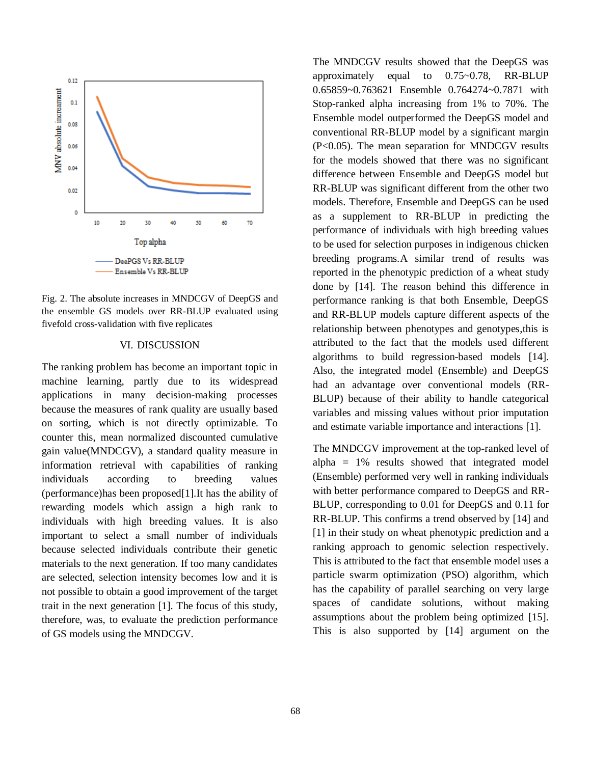

Fig. 2. The absolute increases in MNDCGV of DeepGS and the ensemble GS models over RR-BLUP evaluated using fivefold cross-validation with five replicates

#### VI. DISCUSSION

The ranking problem has become an important topic in machine learning, partly due to its widespread applications in many decision-making processes because the measures of rank quality are usually based on sorting, which is not directly optimizable. To counter this, mean normalized discounted cumulative gain value(MNDCGV), a standard quality measure in information retrieval with capabilities of ranking individuals according to breeding values (performance)has been proposed[1].It has the ability of rewarding models which assign a high rank to individuals with high breeding values. It is also important to select a small number of individuals because selected individuals contribute their genetic materials to the next generation. If too many candidates are selected, selection intensity becomes low and it is not possible to obtain a good improvement of the target trait in the next generation [1]. The focus of this study, therefore, was, to evaluate the prediction performance of GS models using the MNDCGV.

The MNDCGV results showed that the DeepGS was approximately equal to 0.75~0.78, RR-BLUP 0.65859~0.763621 Ensemble 0.764274~0.7871 with Stop-ranked alpha increasing from 1% to 70%. The Ensemble model outperformed the DeepGS model and conventional RR-BLUP model by a significant margin (P<0.05). The mean separation for MNDCGV results for the models showed that there was no significant difference between Ensemble and DeepGS model but RR-BLUP was significant different from the other two models. Therefore, Ensemble and DeepGS can be used as a supplement to RR-BLUP in predicting the performance of individuals with high breeding values to be used for selection purposes in indigenous chicken breeding programs.A similar trend of results was reported in the phenotypic prediction of a wheat study done by [14]. The reason behind this difference in performance ranking is that both Ensemble, DeepGS and RR-BLUP models capture different aspects of the relationship between phenotypes and genotypes,this is attributed to the fact that the models used different algorithms to build regression-based models [14]. Also, the integrated model (Ensemble) and DeepGS had an advantage over conventional models (RR-BLUP) because of their ability to handle categorical variables and missing values without prior imputation and estimate variable importance and interactions [1].

The MNDCGV improvement at the top-ranked level of alpha  $= 1\%$  results showed that integrated model (Ensemble) performed very well in ranking individuals with better performance compared to DeepGS and RR-BLUP, corresponding to 0.01 for DeepGS and 0.11 for RR-BLUP. This confirms a trend observed by [14] and [1] in their study on wheat phenotypic prediction and a ranking approach to genomic selection respectively. This is attributed to the fact that ensemble model uses a particle swarm optimization (PSO) algorithm, which has the capability of parallel searching on very large spaces of candidate solutions, without making assumptions about the problem being optimized [15]. This is also supported by [14] argument on the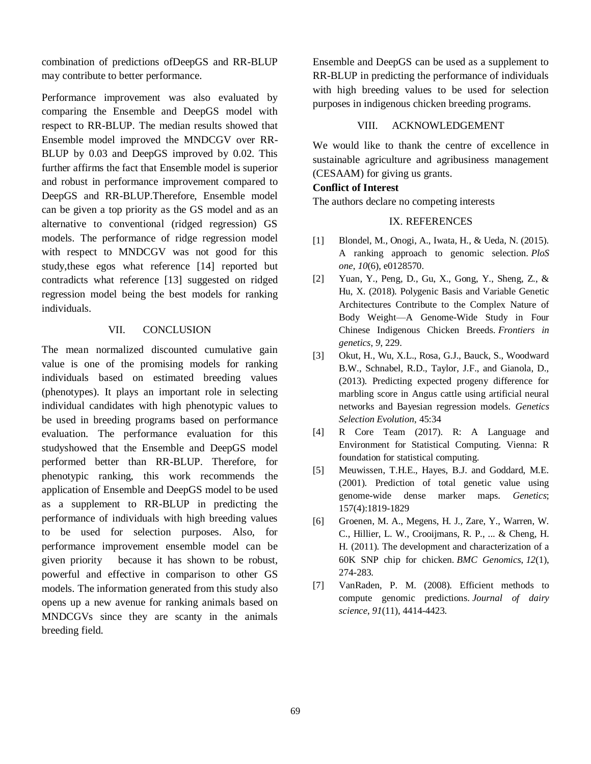combination of predictions ofDeepGS and RR-BLUP may contribute to better performance.

Performance improvement was also evaluated by comparing the Ensemble and DeepGS model with respect to RR-BLUP. The median results showed that Ensemble model improved the MNDCGV over RR-BLUP by 0.03 and DeepGS improved by 0.02. This further affirms the fact that Ensemble model is superior and robust in performance improvement compared to DeepGS and RR-BLUP.Therefore, Ensemble model can be given a top priority as the GS model and as an alternative to conventional (ridged regression) GS models. The performance of ridge regression model with respect to MNDCGV was not good for this study,these egos what reference [14] reported but contradicts what reference [13] suggested on ridged regression model being the best models for ranking individuals.

## VII. CONCLUSION

The mean normalized discounted cumulative gain value is one of the promising models for ranking individuals based on estimated breeding values (phenotypes). It plays an important role in selecting individual candidates with high phenotypic values to be used in breeding programs based on performance evaluation. The performance evaluation for this studyshowed that the Ensemble and DeepGS model performed better than RR-BLUP. Therefore, for phenotypic ranking, this work recommends the application of Ensemble and DeepGS model to be used as a supplement to RR-BLUP in predicting the performance of individuals with high breeding values to be used for selection purposes. Also, for performance improvement ensemble model can be given priority because it has shown to be robust, powerful and effective in comparison to other GS models. The information generated from this study also opens up a new avenue for ranking animals based on MNDCGVs since they are scanty in the animals breeding field.

Ensemble and DeepGS can be used as a supplement to RR-BLUP in predicting the performance of individuals with high breeding values to be used for selection purposes in indigenous chicken breeding programs.

#### VIII. ACKNOWLEDGEMENT

We would like to thank the centre of excellence in sustainable agriculture and agribusiness management (CESAAM) for giving us grants.

#### **Conflict of Interest**

The authors declare no competing interests

#### IX. REFERENCES

- [1] Blondel, M., Onogi, A., Iwata, H., & Ueda, N. (2015). A ranking approach to genomic selection. *PloS one*, *10*(6), e0128570.
- [2] Yuan, Y., Peng, D., Gu, X., Gong, Y., Sheng, Z., & Hu, X. (2018). Polygenic Basis and Variable Genetic Architectures Contribute to the Complex Nature of Body Weight—A Genome-Wide Study in Four Chinese Indigenous Chicken Breeds. *Frontiers in genetics*, *9*, 229.
- [3] Okut, H., Wu, X.L., Rosa, G.J., Bauck, S., Woodward B.W., Schnabel, R.D., Taylor, J.F., and Gianola, D., (2013). Predicting expected progeny difference for marbling score in Angus cattle using artificial neural networks and Bayesian regression models. *Genetics Selection Evolution*, 45:34
- [4] R Core Team (2017). R: A Language and Environment for Statistical Computing. Vienna: R foundation for statistical computing.
- [5] Meuwissen, T.H.E., Hayes, B.J. and Goddard, M.E. (2001). Prediction of total genetic value using genome-wide dense marker maps. *Genetics*; 157(4):1819-1829
- [6] Groenen, M. A., Megens, H. J., Zare, Y., Warren, W. C., Hillier, L. W., Crooijmans, R. P., ... & Cheng, H. H. (2011). The development and characterization of a 60K SNP chip for chicken. *BMC Genomics*, *12*(1), 274-283.
- [7] VanRaden, P. M. (2008). Efficient methods to compute genomic predictions. *Journal of dairy science*, *91*(11), 4414-4423.